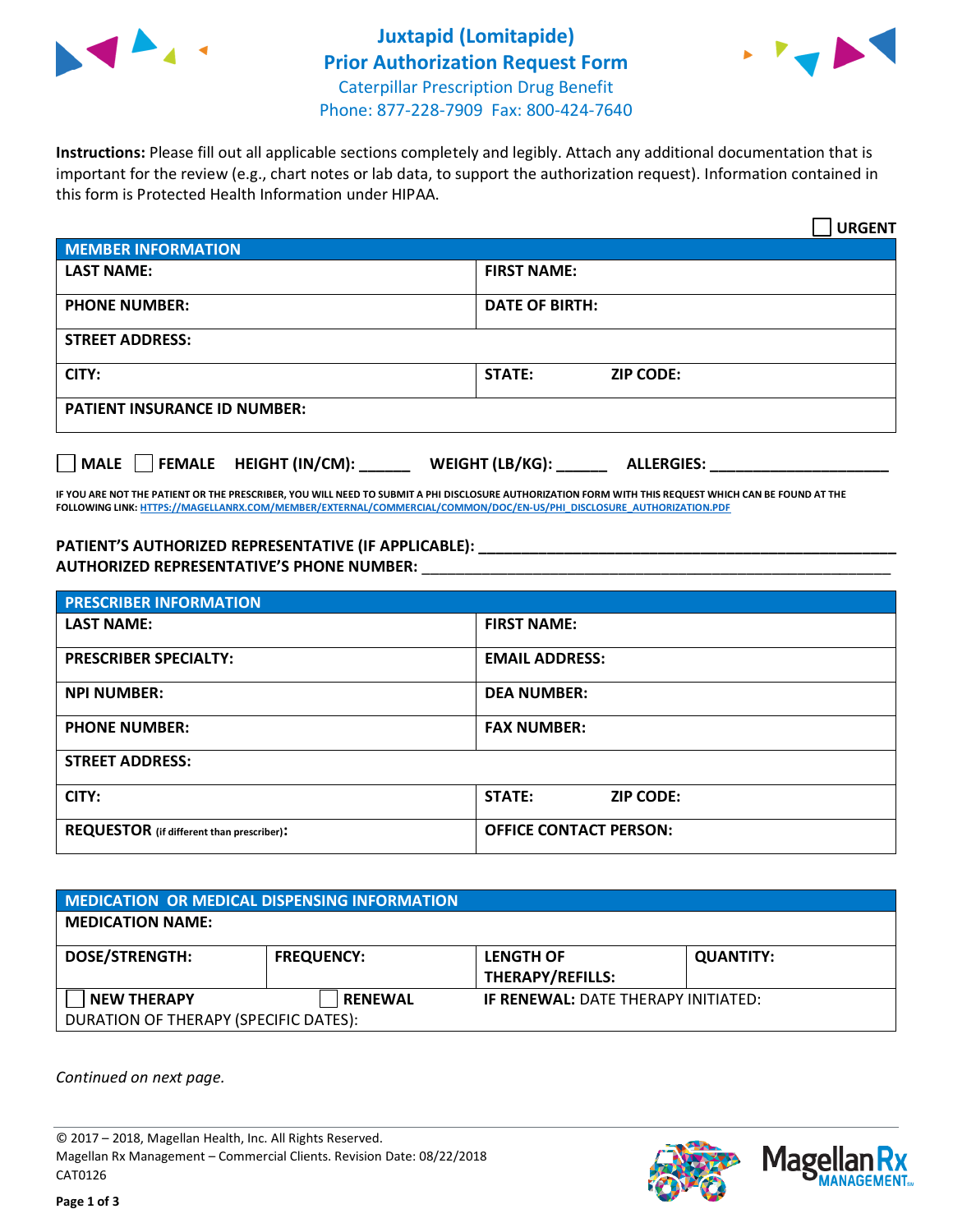



**Instructions:** Please fill out all applicable sections completely and legibly. Attach any additional documentation that is important for the review (e.g., chart notes or lab data, to support the authorization request). Information contained in this form is Protected Health Information under HIPAA.

|                                       | <b>URGENT</b>                        |  |  |  |
|---------------------------------------|--------------------------------------|--|--|--|
| <b>MEMBER INFORMATION</b>             |                                      |  |  |  |
| <b>LAST NAME:</b>                     | <b>FIRST NAME:</b>                   |  |  |  |
| <b>PHONE NUMBER:</b>                  | <b>DATE OF BIRTH:</b>                |  |  |  |
| <b>STREET ADDRESS:</b>                |                                      |  |  |  |
| CITY:                                 | <b>ZIP CODE:</b><br><b>STATE:</b>    |  |  |  |
| <b>PATIENT INSURANCE ID NUMBER:</b>   |                                      |  |  |  |
| FEMALE HEIGHT (IN/CM):<br><b>MALE</b> | WEIGHT (LB/KG):<br><b>ALLERGIES:</b> |  |  |  |

**IF YOU ARE NOT THE PATIENT OR THE PRESCRIBER, YOU WILL NEED TO SUBMIT A PHI DISCLOSURE AUTHORIZATION FORM WITH THIS REQUEST WHICH CAN BE FOUND AT THE FOLLOWING LINK[: HTTPS://MAGELLANRX.COM/MEMBER/EXTERNAL/COMMERCIAL/COMMON/DOC/EN-US/PHI\\_DISCLOSURE\\_AUTHORIZATION.PDF](https://magellanrx.com/member/external/commercial/common/doc/en-us/PHI_Disclosure_Authorization.pdf)**

**PATIENT'S AUTHORIZED REPRESENTATIVE (IF APPLICABLE): \_\_\_\_\_\_\_\_\_\_\_\_\_\_\_\_\_\_\_\_\_\_\_\_\_\_\_\_\_\_\_\_\_\_\_\_\_\_\_\_\_\_\_\_\_\_\_\_\_ AUTHORIZED REPRESENTATIVE'S PHONE NUMBER:** \_\_\_\_\_\_\_\_\_\_\_\_\_\_\_\_\_\_\_\_\_\_\_\_\_\_\_\_\_\_\_\_\_\_\_\_\_\_\_\_\_\_\_\_\_\_\_\_\_\_\_\_\_\_\_

| <b>PRESCRIBER INFORMATION</b>             |                               |  |  |  |
|-------------------------------------------|-------------------------------|--|--|--|
| <b>LAST NAME:</b>                         | <b>FIRST NAME:</b>            |  |  |  |
| <b>PRESCRIBER SPECIALTY:</b>              | <b>EMAIL ADDRESS:</b>         |  |  |  |
| <b>NPI NUMBER:</b>                        | <b>DEA NUMBER:</b>            |  |  |  |
| <b>PHONE NUMBER:</b>                      | <b>FAX NUMBER:</b>            |  |  |  |
| <b>STREET ADDRESS:</b>                    |                               |  |  |  |
| CITY:                                     | STATE:<br><b>ZIP CODE:</b>    |  |  |  |
| REQUESTOR (if different than prescriber): | <b>OFFICE CONTACT PERSON:</b> |  |  |  |

| <b>MEDICATION OR MEDICAL DISPENSING INFORMATION</b> |                   |                                            |                  |  |  |
|-----------------------------------------------------|-------------------|--------------------------------------------|------------------|--|--|
| <b>MEDICATION NAME:</b>                             |                   |                                            |                  |  |  |
| <b>DOSE/STRENGTH:</b>                               | <b>FREQUENCY:</b> | <b>LENGTH OF</b>                           | <b>QUANTITY:</b> |  |  |
|                                                     |                   | <b>THERAPY/REFILLS:</b>                    |                  |  |  |
| <b>NEW THERAPY</b>                                  | <b>RENEWAL</b>    | <b>IF RENEWAL: DATE THERAPY INITIATED:</b> |                  |  |  |
| DURATION OF THERAPY (SPECIFIC DATES):               |                   |                                            |                  |  |  |

*Continued on next page.*

© 2017 – 2018, Magellan Health, Inc. All Rights Reserved. Magellan Rx Management – Commercial Clients. Revision Date: 08/22/2018 CAT0126



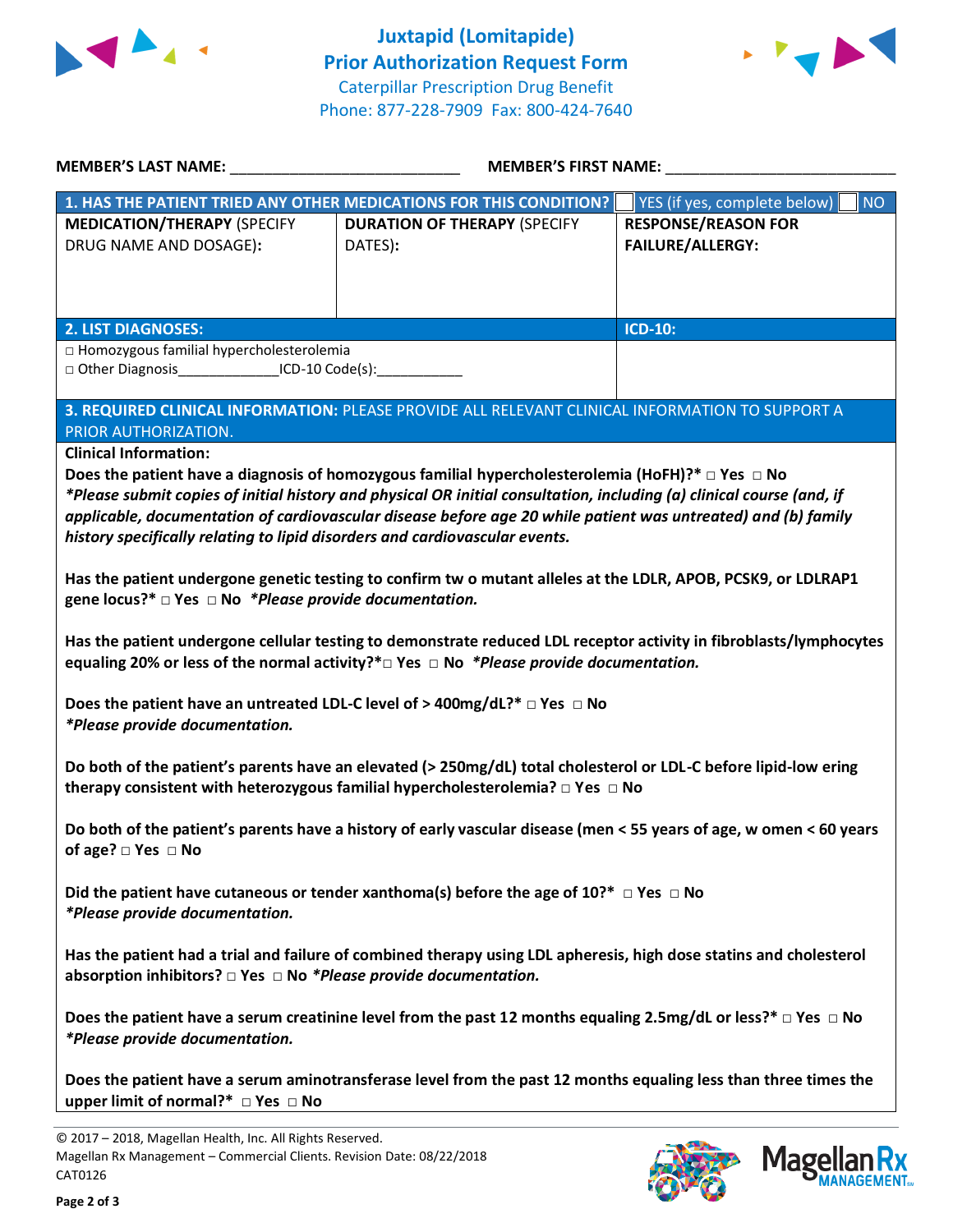



| <b>MEMBER'S LAST NAME:</b>                                                                                              | <b>MEMBER'S FIRST NAME:</b>                                                                                           |                                           |  |  |
|-------------------------------------------------------------------------------------------------------------------------|-----------------------------------------------------------------------------------------------------------------------|-------------------------------------------|--|--|
|                                                                                                                         | 1. HAS THE PATIENT TRIED ANY OTHER MEDICATIONS FOR THIS CONDITION?                                                    | <b>NO</b><br>YES (if yes, complete below) |  |  |
| <b>MEDICATION/THERAPY (SPECIFY</b>                                                                                      | <b>DURATION OF THERAPY (SPECIFY</b>                                                                                   | <b>RESPONSE/REASON FOR</b>                |  |  |
| DRUG NAME AND DOSAGE):                                                                                                  | DATES):                                                                                                               | <b>FAILURE/ALLERGY:</b>                   |  |  |
|                                                                                                                         |                                                                                                                       |                                           |  |  |
|                                                                                                                         |                                                                                                                       |                                           |  |  |
|                                                                                                                         |                                                                                                                       |                                           |  |  |
| <b>2. LIST DIAGNOSES:</b>                                                                                               |                                                                                                                       | <b>ICD-10:</b>                            |  |  |
| □ Homozygous familial hypercholesterolemia                                                                              |                                                                                                                       |                                           |  |  |
| □ Other Diagnosis__________________ICD-10 Code(s):______________                                                        |                                                                                                                       |                                           |  |  |
|                                                                                                                         |                                                                                                                       |                                           |  |  |
|                                                                                                                         | 3. REQUIRED CLINICAL INFORMATION: PLEASE PROVIDE ALL RELEVANT CLINICAL INFORMATION TO SUPPORT A                       |                                           |  |  |
| PRIOR AUTHORIZATION.                                                                                                    |                                                                                                                       |                                           |  |  |
| <b>Clinical Information:</b>                                                                                            |                                                                                                                       |                                           |  |  |
|                                                                                                                         | Does the patient have a diagnosis of homozygous familial hypercholesterolemia (HoFH)?* $\Box$ Yes $\Box$ No           |                                           |  |  |
|                                                                                                                         | *Please submit copies of initial history and physical OR initial consultation, including (a) clinical course (and, if |                                           |  |  |
|                                                                                                                         | applicable, documentation of cardiovascular disease before age 20 while patient was untreated) and (b) family         |                                           |  |  |
| history specifically relating to lipid disorders and cardiovascular events.                                             |                                                                                                                       |                                           |  |  |
|                                                                                                                         |                                                                                                                       |                                           |  |  |
|                                                                                                                         | Has the patient undergone genetic testing to confirm tw o mutant alleles at the LDLR, APOB, PCSK9, or LDLRAP1         |                                           |  |  |
| gene locus?* $\Box$ Yes $\Box$ No *Please provide documentation.                                                        |                                                                                                                       |                                           |  |  |
|                                                                                                                         |                                                                                                                       |                                           |  |  |
| Has the patient undergone cellular testing to demonstrate reduced LDL receptor activity in fibroblasts/lymphocytes      |                                                                                                                       |                                           |  |  |
|                                                                                                                         | equaling 20% or less of the normal activity? $* \Box$ Yes $\Box$ No *Please provide documentation.                    |                                           |  |  |
|                                                                                                                         |                                                                                                                       |                                           |  |  |
|                                                                                                                         | Does the patient have an untreated LDL-C level of > 400mg/dL?* $\Box$ Yes $\Box$ No                                   |                                           |  |  |
| *Please provide documentation.                                                                                          |                                                                                                                       |                                           |  |  |
|                                                                                                                         |                                                                                                                       |                                           |  |  |
|                                                                                                                         |                                                                                                                       |                                           |  |  |
| Do both of the patient's parents have an elevated (> 250mg/dL) total cholesterol or LDL-C before lipid-low ering        |                                                                                                                       |                                           |  |  |
| therapy consistent with heterozygous familial hypercholesterolemia? $\Box$ Yes $\Box$ No                                |                                                                                                                       |                                           |  |  |
|                                                                                                                         |                                                                                                                       |                                           |  |  |
| Do both of the patient's parents have a history of early vascular disease (men < 55 years of age, w omen < 60 years     |                                                                                                                       |                                           |  |  |
| of age? $\square$ Yes $\square$ No                                                                                      |                                                                                                                       |                                           |  |  |
|                                                                                                                         |                                                                                                                       |                                           |  |  |
| Did the patient have cutaneous or tender xanthoma(s) before the age of 10?* $\Box$ Yes $\Box$ No                        |                                                                                                                       |                                           |  |  |
| *Please provide documentation.                                                                                          |                                                                                                                       |                                           |  |  |
|                                                                                                                         |                                                                                                                       |                                           |  |  |
| Has the patient had a trial and failure of combined therapy using LDL apheresis, high dose statins and cholesterol      |                                                                                                                       |                                           |  |  |
| absorption inhibitors? $\square$ Yes $\square$ No *Please provide documentation.                                        |                                                                                                                       |                                           |  |  |
|                                                                                                                         |                                                                                                                       |                                           |  |  |
| Does the patient have a serum creatinine level from the past 12 months equaling 2.5mg/dL or less?* $\Box$ Yes $\Box$ No |                                                                                                                       |                                           |  |  |
| *Please provide documentation.                                                                                          |                                                                                                                       |                                           |  |  |
|                                                                                                                         |                                                                                                                       |                                           |  |  |
| Does the patient have a serum aminotransferase level from the past 12 months equaling less than three times the         |                                                                                                                       |                                           |  |  |
| upper limit of normal?* □ Yes □ No                                                                                      |                                                                                                                       |                                           |  |  |
|                                                                                                                         |                                                                                                                       |                                           |  |  |